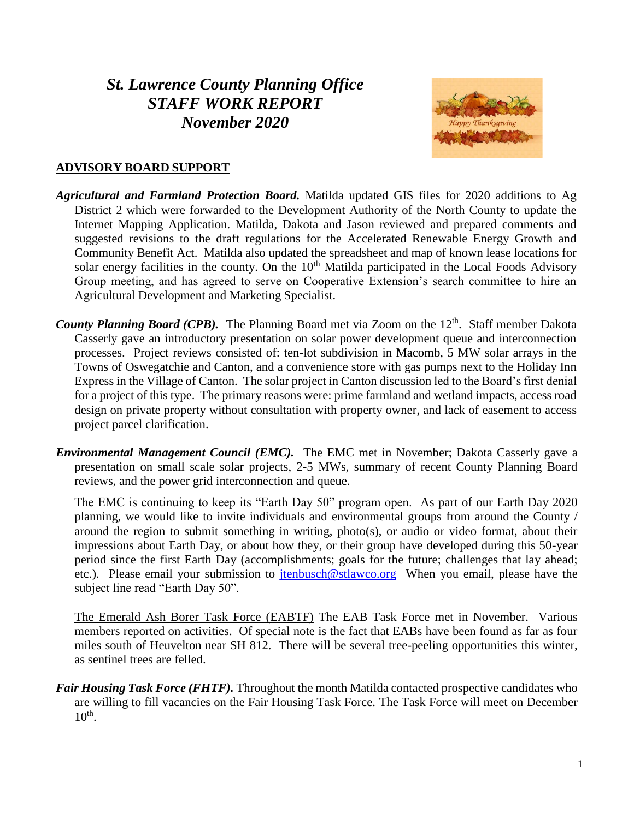# *St. Lawrence County Planning Office STAFF WORK REPORT November 2020*



## **ADVISORY BOARD SUPPORT**

- *Agricultural and Farmland Protection Board.* Matilda updated GIS files for 2020 additions to Ag District 2 which were forwarded to the Development Authority of the North County to update the Internet Mapping Application. Matilda, Dakota and Jason reviewed and prepared comments and suggested revisions to the draft regulations for the Accelerated Renewable Energy Growth and Community Benefit Act. Matilda also updated the spreadsheet and map of known lease locations for solar energy facilities in the county. On the 10<sup>th</sup> Matilda participated in the Local Foods Advisory Group meeting, and has agreed to serve on Cooperative Extension's search committee to hire an Agricultural Development and Marketing Specialist.
- *County Planning Board (CPB).* The Planning Board met via Zoom on the 12<sup>th</sup>. Staff member Dakota Casserly gave an introductory presentation on solar power development queue and interconnection processes. Project reviews consisted of: ten-lot subdivision in Macomb, 5 MW solar arrays in the Towns of Oswegatchie and Canton, and a convenience store with gas pumps next to the Holiday Inn Express in the Village of Canton. The solar project in Canton discussion led to the Board's first denial for a project of this type. The primary reasons were: prime farmland and wetland impacts, access road design on private property without consultation with property owner, and lack of easement to access project parcel clarification.
- *Environmental Management Council (EMC).* The EMC met in November; Dakota Casserly gave a presentation on small scale solar projects, 2-5 MWs, summary of recent County Planning Board reviews, and the power grid interconnection and queue.

The EMC is continuing to keep its "Earth Day 50" program open. As part of our Earth Day 2020 planning, we would like to invite individuals and environmental groups from around the County / around the region to submit something in writing, photo(s), or audio or video format, about their impressions about Earth Day, or about how they, or their group have developed during this 50-year period since the first Earth Day (accomplishments; goals for the future; challenges that lay ahead; etc.). Please email your submission to [jtenbusch@stlawco.org](mailto:jtenbusch@stlawco.org) When you email, please have the subject line read "Earth Day 50".

The Emerald Ash Borer Task Force (EABTF) The EAB Task Force met in November. Various members reported on activities. Of special note is the fact that EABs have been found as far as four miles south of Heuvelton near SH 812. There will be several tree-peeling opportunities this winter, as sentinel trees are felled.

*Fair Housing Task Force (FHTF)*. Throughout the month Matilda contacted prospective candidates who are willing to fill vacancies on the Fair Housing Task Force. The Task Force will meet on December  $10<sup>th</sup>$ .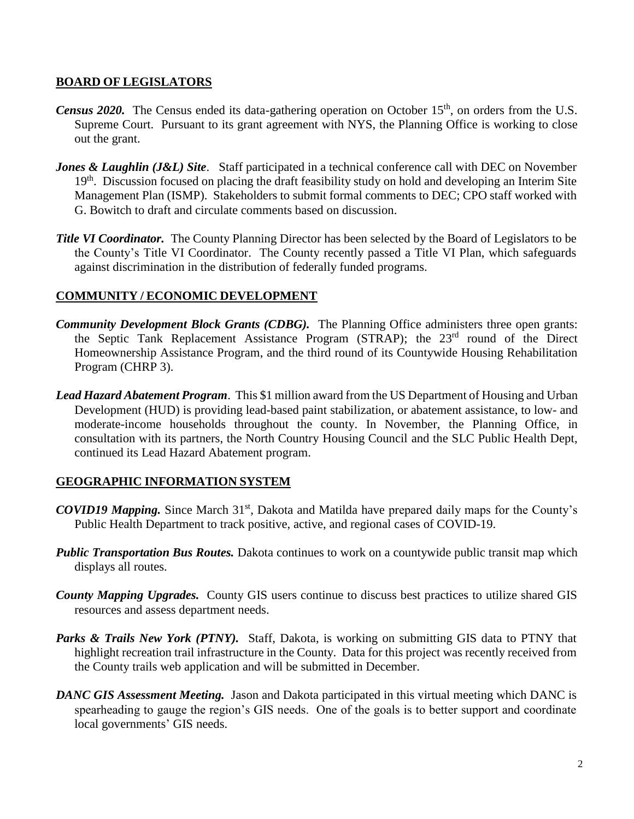## **BOARD OF LEGISLATORS**

- *Census 2020.* The Census ended its data-gathering operation on October 15<sup>th</sup>, on orders from the U.S. Supreme Court. Pursuant to its grant agreement with NYS, the Planning Office is working to close out the grant.
- *Jones & Laughlin (J&L) Site.* Staff participated in a technical conference call with DEC on November 19<sup>th</sup>. Discussion focused on placing the draft feasibility study on hold and developing an Interim Site Management Plan (ISMP). Stakeholders to submit formal comments to DEC; CPO staff worked with G. Bowitch to draft and circulate comments based on discussion.
- *Title VI Coordinator.* The County Planning Director has been selected by the Board of Legislators to be the County's Title VI Coordinator. The County recently passed a Title VI Plan, which safeguards against discrimination in the distribution of federally funded programs.

# **COMMUNITY / ECONOMIC DEVELOPMENT**

- *Community Development Block Grants (CDBG).* The Planning Office administers three open grants: the Septic Tank Replacement Assistance Program (STRAP); the 23rd round of the Direct Homeownership Assistance Program, and the third round of its Countywide Housing Rehabilitation Program (CHRP 3).
- *Lead Hazard Abatement Program*. This \$1 million award from the US Department of Housing and Urban Development (HUD) is providing lead-based paint stabilization, or abatement assistance, to low- and moderate-income households throughout the county. In November, the Planning Office, in consultation with its partners, the North Country Housing Council and the SLC Public Health Dept, continued its Lead Hazard Abatement program.

# **GEOGRAPHIC INFORMATION SYSTEM**

- *COVID19 Mapping.* Since March 31<sup>st</sup>, Dakota and Matilda have prepared daily maps for the County's Public Health Department to track positive, active, and regional cases of COVID-19.
- *Public Transportation Bus Routes.* Dakota continues to work on a countywide public transit map which displays all routes.
- *County Mapping Upgrades.* County GIS users continue to discuss best practices to utilize shared GIS resources and assess department needs.
- Parks & Trails New York (PTNY). Staff, Dakota, is working on submitting GIS data to PTNY that highlight recreation trail infrastructure in the County. Data for this project was recently received from the County trails web application and will be submitted in December.
- *DANC GIS Assessment Meeting.* Jason and Dakota participated in this virtual meeting which DANC is spearheading to gauge the region's GIS needs. One of the goals is to better support and coordinate local governments' GIS needs.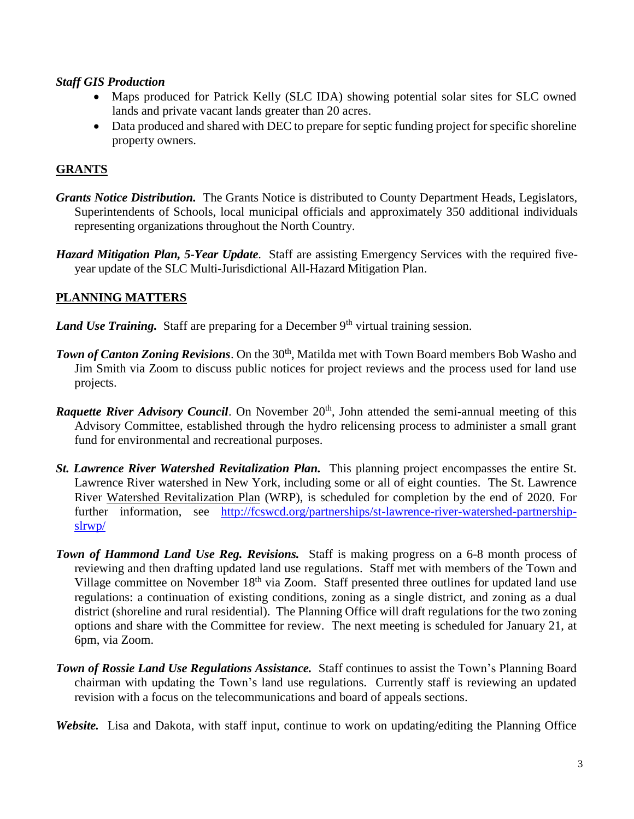#### *Staff GIS Production*

- Maps produced for Patrick Kelly (SLC IDA) showing potential solar sites for SLC owned lands and private vacant lands greater than 20 acres.
- Data produced and shared with DEC to prepare for septic funding project for specific shoreline property owners.

# **GRANTS**

- *Grants Notice Distribution.* The Grants Notice is distributed to County Department Heads, Legislators, Superintendents of Schools, local municipal officials and approximately 350 additional individuals representing organizations throughout the North Country.
- *Hazard Mitigation Plan, 5-Year Update*. Staff are assisting Emergency Services with the required fiveyear update of the SLC Multi-Jurisdictional All-Hazard Mitigation Plan.

# **PLANNING MATTERS**

*Land Use Training.* Staff are preparing for a December 9<sup>th</sup> virtual training session.

- **Town of Canton Zoning Revisions.** On the 30<sup>th</sup>, Matilda met with Town Board members Bob Washo and Jim Smith via Zoom to discuss public notices for project reviews and the process used for land use projects.
- **Raquette River Advisory Council.** On November 20<sup>th</sup>, John attended the semi-annual meeting of this Advisory Committee, established through the hydro relicensing process to administer a small grant fund for environmental and recreational purposes.
- *St. Lawrence River Watershed Revitalization Plan.* This planning project encompasses the entire St. Lawrence River watershed in New York, including some or all of eight counties. The St. Lawrence River Watershed Revitalization Plan (WRP), is scheduled for completion by the end of 2020. For further information, see [http://fcswcd.org/partnerships/st-lawrence-river-watershed-partnership](http://fcswcd.org/partnerships/st-lawrence-river-watershed-partnership-slrwp/)[slrwp/](http://fcswcd.org/partnerships/st-lawrence-river-watershed-partnership-slrwp/)
- *Town of Hammond Land Use Reg. Revisions.* Staff is making progress on a 6-8 month process of reviewing and then drafting updated land use regulations. Staff met with members of the Town and Village committee on November  $18<sup>th</sup>$  via Zoom. Staff presented three outlines for updated land use regulations: a continuation of existing conditions, zoning as a single district, and zoning as a dual district (shoreline and rural residential). The Planning Office will draft regulations for the two zoning options and share with the Committee for review. The next meeting is scheduled for January 21, at 6pm, via Zoom.
- *Town of Rossie Land Use Regulations Assistance.* Staff continues to assist the Town's Planning Board chairman with updating the Town's land use regulations. Currently staff is reviewing an updated revision with a focus on the telecommunications and board of appeals sections.
- *Website.* Lisa and Dakota, with staff input, continue to work on updating/editing the Planning Office